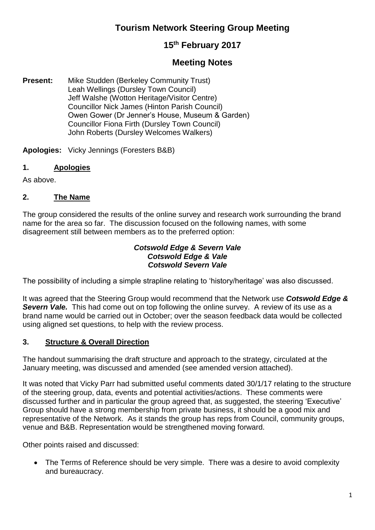# **Tourism Network Steering Group Meeting**

# **15th February 2017**

## **Meeting Notes**

**Present:** Mike Studden (Berkeley Community Trust) Leah Wellings (Dursley Town Council) Jeff Walshe (Wotton Heritage/Visitor Centre) Councillor Nick James (Hinton Parish Council) Owen Gower (Dr Jenner's House, Museum & Garden) Councillor Fiona Firth (Dursley Town Council) John Roberts (Dursley Welcomes Walkers)

**Apologies:** Vicky Jennings (Foresters B&B)

### **1. Apologies**

As above.

#### **2. The Name**

The group considered the results of the online survey and research work surrounding the brand name for the area so far. The discussion focused on the following names, with some disagreement still between members as to the preferred option:

#### *Cotswold Edge & Severn Vale Cotswold Edge & Vale Cotswold Severn Vale*

The possibility of including a simple strapline relating to 'history/heritage' was also discussed.

It was agreed that the Steering Group would recommend that the Network use *Cotswold Edge &*  **Severn Vale.** This had come out on top following the online survey. A review of its use as a brand name would be carried out in October; over the season feedback data would be collected using aligned set questions, to help with the review process.

#### **3. Structure & Overall Direction**

The handout summarising the draft structure and approach to the strategy, circulated at the January meeting, was discussed and amended (see amended version attached).

It was noted that Vicky Parr had submitted useful comments dated 30/1/17 relating to the structure of the steering group, data, events and potential activities/actions. These comments were discussed further and in particular the group agreed that, as suggested, the steering 'Executive' Group should have a strong membership from private business, it should be a good mix and representative of the Network. As it stands the group has reps from Council, community groups, venue and B&B. Representation would be strengthened moving forward.

Other points raised and discussed:

• The Terms of Reference should be very simple. There was a desire to avoid complexity and bureaucracy.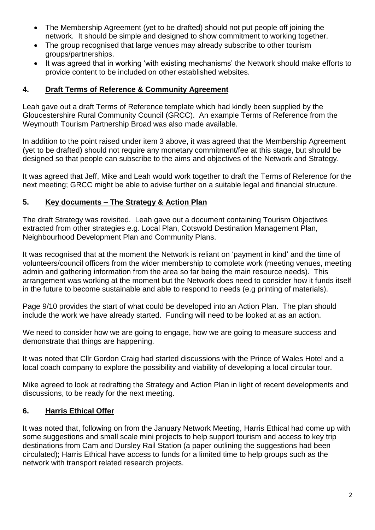- The Membership Agreement (yet to be drafted) should not put people off joining the network. It should be simple and designed to show commitment to working together.
- The group recognised that large venues may already subscribe to other tourism groups/partnerships.
- It was agreed that in working 'with existing mechanisms' the Network should make efforts to provide content to be included on other established websites.

#### **4. Draft Terms of Reference & Community Agreement**

Leah gave out a draft Terms of Reference template which had kindly been supplied by the Gloucestershire Rural Community Council (GRCC). An example Terms of Reference from the Weymouth Tourism Partnership Broad was also made available.

In addition to the point raised under item 3 above, it was agreed that the Membership Agreement (yet to be drafted) should not require any monetary commitment/fee at this stage, but should be designed so that people can subscribe to the aims and objectives of the Network and Strategy.

It was agreed that Jeff, Mike and Leah would work together to draft the Terms of Reference for the next meeting; GRCC might be able to advise further on a suitable legal and financial structure.

#### **5. Key documents – The Strategy & Action Plan**

The draft Strategy was revisited. Leah gave out a document containing Tourism Objectives extracted from other strategies e.g. Local Plan, Cotswold Destination Management Plan, Neighbourhood Development Plan and Community Plans.

It was recognised that at the moment the Network is reliant on 'payment in kind' and the time of volunteers/council officers from the wider membership to complete work (meeting venues, meeting admin and gathering information from the area so far being the main resource needs). This arrangement was working at the moment but the Network does need to consider how it funds itself in the future to become sustainable and able to respond to needs (e.g printing of materials).

Page 9/10 provides the start of what could be developed into an Action Plan. The plan should include the work we have already started. Funding will need to be looked at as an action.

We need to consider how we are going to engage, how we are going to measure success and demonstrate that things are happening.

It was noted that Cllr Gordon Craig had started discussions with the Prince of Wales Hotel and a local coach company to explore the possibility and viability of developing a local circular tour.

Mike agreed to look at redrafting the Strategy and Action Plan in light of recent developments and discussions, to be ready for the next meeting.

#### **6. Harris Ethical Offer**

It was noted that, following on from the January Network Meeting, Harris Ethical had come up with some suggestions and small scale mini projects to help support tourism and access to key trip destinations from Cam and Dursley Rail Station (a paper outlining the suggestions had been circulated); Harris Ethical have access to funds for a limited time to help groups such as the network with transport related research projects.